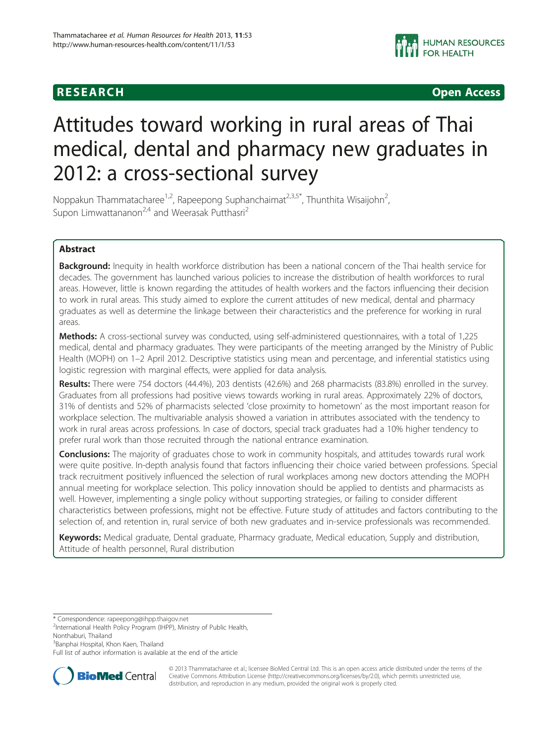**RESEARCH CHINESEARCH CHINESEARCH** 

# Attitudes toward working in rural areas of Thai medical, dental and pharmacy new graduates in 2012: a cross-sectional survey

Noppakun Thammatacharee<sup>1,2</sup>, Rapeepong Suphanchaimat<sup>2,3,5\*</sup>, Thunthita Wisaijohn<sup>2</sup>, , Supon Limwattananon<sup>2,4</sup> and Weerasak Putthasri<sup>2</sup>

# Abstract

Background: Inequity in health workforce distribution has been a national concern of the Thai health service for decades. The government has launched various policies to increase the distribution of health workforces to rural areas. However, little is known regarding the attitudes of health workers and the factors influencing their decision to work in rural areas. This study aimed to explore the current attitudes of new medical, dental and pharmacy graduates as well as determine the linkage between their characteristics and the preference for working in rural areas.

Methods: A cross-sectional survey was conducted, using self-administered questionnaires, with a total of 1,225 medical, dental and pharmacy graduates. They were participants of the meeting arranged by the Ministry of Public Health (MOPH) on 1–2 April 2012. Descriptive statistics using mean and percentage, and inferential statistics using logistic regression with marginal effects, were applied for data analysis.

Results: There were 754 doctors (44.4%), 203 dentists (42.6%) and 268 pharmacists (83.8%) enrolled in the survey. Graduates from all professions had positive views towards working in rural areas. Approximately 22% of doctors, 31% of dentists and 52% of pharmacists selected 'close proximity to hometown' as the most important reason for workplace selection. The multivariable analysis showed a variation in attributes associated with the tendency to work in rural areas across professions. In case of doctors, special track graduates had a 10% higher tendency to prefer rural work than those recruited through the national entrance examination.

**Conclusions:** The majority of graduates chose to work in community hospitals, and attitudes towards rural work were quite positive. In-depth analysis found that factors influencing their choice varied between professions. Special track recruitment positively influenced the selection of rural workplaces among new doctors attending the MOPH annual meeting for workplace selection. This policy innovation should be applied to dentists and pharmacists as well. However, implementing a single policy without supporting strategies, or failing to consider different characteristics between professions, might not be effective. Future study of attitudes and factors contributing to the selection of, and retention in, rural service of both new graduates and in-service professionals was recommended.

Keywords: Medical graduate, Dental graduate, Pharmacy graduate, Medical education, Supply and distribution, Attitude of health personnel, Rural distribution

\* Correspondence: [rapeepong@ihpp.thaigov.net](mailto:rapeepong@ihpp.thaigov.net) <sup>2</sup>

<sup>2</sup>International Health Policy Program (IHPP), Ministry of Public Health,

Nonthaburi, Thailand

<sup>3</sup>Banphai Hospital, Khon Kaen, Thailand

Full list of author information is available at the end of the article



© 2013 Thammatacharee et al.; licensee BioMed Central Ltd. This is an open access article distributed under the terms of the Creative Commons Attribution License (<http://creativecommons.org/licenses/by/2.0>), which permits unrestricted use, distribution, and reproduction in any medium, provided the original work is properly cited.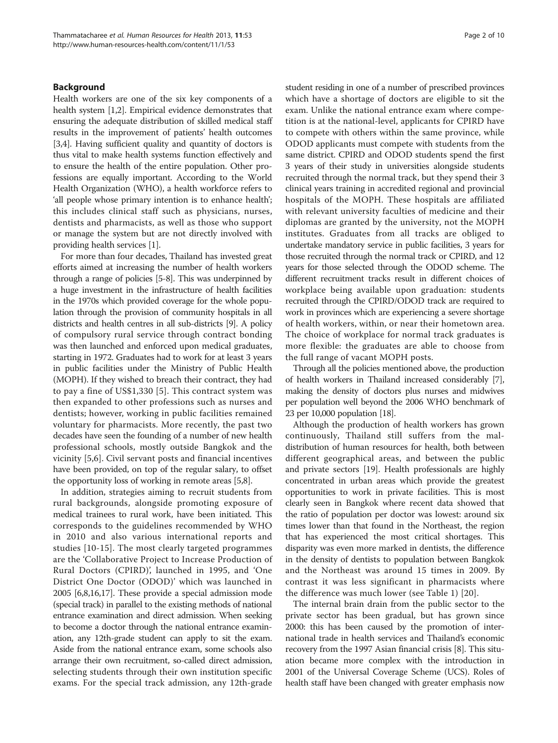# Background

Health workers are one of the six key components of a health system [\[1,2\]](#page-8-0). Empirical evidence demonstrates that ensuring the adequate distribution of skilled medical staff results in the improvement of patients' health outcomes [[3,4](#page-8-0)]. Having sufficient quality and quantity of doctors is thus vital to make health systems function effectively and to ensure the health of the entire population. Other professions are equally important. According to the World Health Organization (WHO), a health workforce refers to 'all people whose primary intention is to enhance health'; this includes clinical staff such as physicians, nurses, dentists and pharmacists, as well as those who support or manage the system but are not directly involved with providing health services [[1](#page-8-0)].

For more than four decades, Thailand has invested great efforts aimed at increasing the number of health workers through a range of policies [\[5-8\]](#page-8-0). This was underpinned by a huge investment in the infrastructure of health facilities in the 1970s which provided coverage for the whole population through the provision of community hospitals in all districts and health centres in all sub-districts [\[9\]](#page-8-0). A policy of compulsory rural service through contract bonding was then launched and enforced upon medical graduates, starting in 1972. Graduates had to work for at least 3 years in public facilities under the Ministry of Public Health (MOPH). If they wished to breach their contract, they had to pay a fine of US\$1,330 [[5\]](#page-8-0). This contract system was then expanded to other professions such as nurses and dentists; however, working in public facilities remained voluntary for pharmacists. More recently, the past two decades have seen the founding of a number of new health professional schools, mostly outside Bangkok and the vicinity [[5,6](#page-8-0)]. Civil servant posts and financial incentives have been provided, on top of the regular salary, to offset the opportunity loss of working in remote areas [[5,8](#page-8-0)].

In addition, strategies aiming to recruit students from rural backgrounds, alongside promoting exposure of medical trainees to rural work, have been initiated. This corresponds to the guidelines recommended by WHO in 2010 and also various international reports and studies [[10-](#page-8-0)[15\]](#page-9-0). The most clearly targeted programmes are the 'Collaborative Project to Increase Production of Rural Doctors (CPIRD)', launched in 1995, and 'One District One Doctor (ODOD)' which was launched in 2005 [\[6,8](#page-8-0)[,16,17](#page-9-0)]. These provide a special admission mode (special track) in parallel to the existing methods of national entrance examination and direct admission. When seeking to become a doctor through the national entrance examination, any 12th-grade student can apply to sit the exam. Aside from the national entrance exam, some schools also arrange their own recruitment, so-called direct admission, selecting students through their own institution specific exams. For the special track admission, any 12th-grade student residing in one of a number of prescribed provinces which have a shortage of doctors are eligible to sit the exam. Unlike the national entrance exam where competition is at the national-level, applicants for CPIRD have to compete with others within the same province, while ODOD applicants must compete with students from the same district. CPIRD and ODOD students spend the first 3 years of their study in universities alongside students recruited through the normal track, but they spend their 3 clinical years training in accredited regional and provincial hospitals of the MOPH. These hospitals are affiliated with relevant university faculties of medicine and their diplomas are granted by the university, not the MOPH institutes. Graduates from all tracks are obliged to undertake mandatory service in public facilities, 3 years for those recruited through the normal track or CPIRD, and 12 years for those selected through the ODOD scheme. The different recruitment tracks result in different choices of workplace being available upon graduation: students recruited through the CPIRD/ODOD track are required to work in provinces which are experiencing a severe shortage of health workers, within, or near their hometown area. The choice of workplace for normal track graduates is more flexible: the graduates are able to choose from the full range of vacant MOPH posts.

Through all the policies mentioned above, the production of health workers in Thailand increased considerably [[7](#page-8-0)], making the density of doctors plus nurses and midwives per population well beyond the 2006 WHO benchmark of 23 per 10,000 population [\[18\]](#page-9-0).

Although the production of health workers has grown continuously, Thailand still suffers from the maldistribution of human resources for health, both between different geographical areas, and between the public and private sectors [\[19\]](#page-9-0). Health professionals are highly concentrated in urban areas which provide the greatest opportunities to work in private facilities. This is most clearly seen in Bangkok where recent data showed that the ratio of population per doctor was lowest: around six times lower than that found in the Northeast, the region that has experienced the most critical shortages. This disparity was even more marked in dentists, the difference in the density of dentists to population between Bangkok and the Northeast was around 15 times in 2009. By contrast it was less significant in pharmacists where the difference was much lower (see Table [1](#page-2-0)) [\[20\]](#page-9-0).

The internal brain drain from the public sector to the private sector has been gradual, but has grown since 2000: this has been caused by the promotion of international trade in health services and Thailand's economic recovery from the 1997 Asian financial crisis [[8\]](#page-8-0). This situation became more complex with the introduction in 2001 of the Universal Coverage Scheme (UCS). Roles of health staff have been changed with greater emphasis now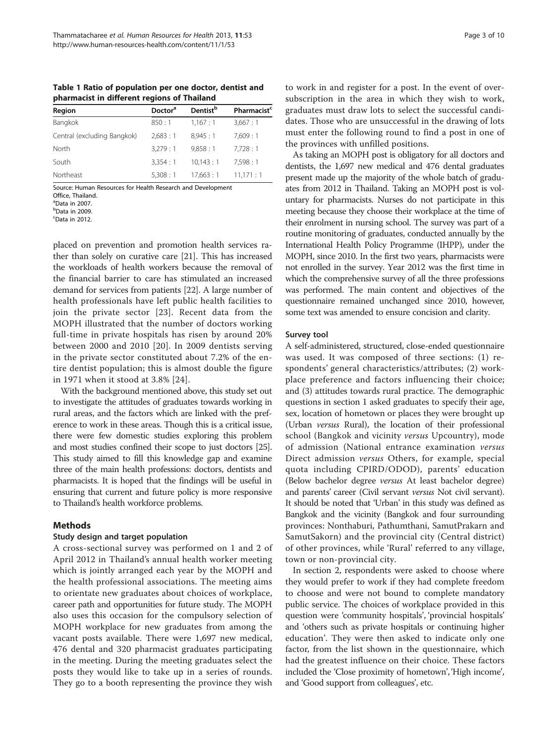<span id="page-2-0"></span>Table 1 Ratio of population per one doctor, dentist and pharmacist in different regions of Thailand

| Region                      | Doctor <sup>a</sup> | <b>Dentist</b> <sup>b</sup> | Pharmacist <sup>c</sup> |
|-----------------------------|---------------------|-----------------------------|-------------------------|
| Bangkok                     | 850:1               | 1,167:1                     | 3,667:1                 |
| Central (excluding Bangkok) | 2.683:1             | 8.945:1                     | 7.609:1                 |
| North                       | 3.279:1             | 9.858:1                     | 7.728:1                 |
| South                       | 3.354:1             | 10.143:1                    | 7.598:1                 |
| Northeast                   | 5,308:1             | 17.663:1                    | 11,171:1                |
|                             |                     |                             |                         |

Source: Human Resources for Health Research and Development

Office, Thailand.

a Data in 2007.

b Data in 2009.

<sup>c</sup>Data in 2012.

placed on prevention and promotion health services rather than solely on curative care [\[21\]](#page-9-0). This has increased the workloads of health workers because the removal of the financial barrier to care has stimulated an increased demand for services from patients [\[22\]](#page-9-0). A large number of health professionals have left public health facilities to join the private sector [\[23](#page-9-0)]. Recent data from the MOPH illustrated that the number of doctors working full-time in private hospitals has risen by around 20% between 2000 and 2010 [[20\]](#page-9-0). In 2009 dentists serving in the private sector constituted about 7.2% of the entire dentist population; this is almost double the figure in 1971 when it stood at 3.8% [[24](#page-9-0)].

With the background mentioned above, this study set out to investigate the attitudes of graduates towards working in rural areas, and the factors which are linked with the preference to work in these areas. Though this is a critical issue, there were few domestic studies exploring this problem and most studies confined their scope to just doctors [\[25](#page-9-0)]. This study aimed to fill this knowledge gap and examine three of the main health professions: doctors, dentists and pharmacists. It is hoped that the findings will be useful in ensuring that current and future policy is more responsive to Thailand's health workforce problems.

# Methods

# Study design and target population

A cross-sectional survey was performed on 1 and 2 of April 2012 in Thailand's annual health worker meeting which is jointly arranged each year by the MOPH and the health professional associations. The meeting aims to orientate new graduates about choices of workplace, career path and opportunities for future study. The MOPH also uses this occasion for the compulsory selection of MOPH workplace for new graduates from among the vacant posts available. There were 1,697 new medical, 476 dental and 320 pharmacist graduates participating in the meeting. During the meeting graduates select the posts they would like to take up in a series of rounds. They go to a booth representing the province they wish

to work in and register for a post. In the event of oversubscription in the area in which they wish to work, graduates must draw lots to select the successful candidates. Those who are unsuccessful in the drawing of lots must enter the following round to find a post in one of the provinces with unfilled positions.

As taking an MOPH post is obligatory for all doctors and dentists, the 1,697 new medical and 476 dental graduates present made up the majority of the whole batch of graduates from 2012 in Thailand. Taking an MOPH post is voluntary for pharmacists. Nurses do not participate in this meeting because they choose their workplace at the time of their enrolment in nursing school. The survey was part of a routine monitoring of graduates, conducted annually by the International Health Policy Programme (IHPP), under the MOPH, since 2010. In the first two years, pharmacists were not enrolled in the survey. Year 2012 was the first time in which the comprehensive survey of all the three professions was performed. The main content and objectives of the questionnaire remained unchanged since 2010, however, some text was amended to ensure concision and clarity.

# Survey tool

A self-administered, structured, close-ended questionnaire was used. It was composed of three sections: (1) respondents' general characteristics/attributes; (2) workplace preference and factors influencing their choice; and (3) attitudes towards rural practice. The demographic questions in section 1 asked graduates to specify their age, sex, location of hometown or places they were brought up (Urban versus Rural), the location of their professional school (Bangkok and vicinity versus Upcountry), mode of admission (National entrance examination versus Direct admission versus Others, for example, special quota including CPIRD/ODOD), parents' education (Below bachelor degree versus At least bachelor degree) and parents' career (Civil servant versus Not civil servant). It should be noted that 'Urban' in this study was defined as Bangkok and the vicinity (Bangkok and four surrounding provinces: Nonthaburi, Pathumthani, SamutPrakarn and SamutSakorn) and the provincial city (Central district) of other provinces, while 'Rural' referred to any village, town or non-provincial city.

In section 2, respondents were asked to choose where they would prefer to work if they had complete freedom to choose and were not bound to complete mandatory public service. The choices of workplace provided in this question were 'community hospitals', 'provincial hospitals' and 'others such as private hospitals or continuing higher education'. They were then asked to indicate only one factor, from the list shown in the questionnaire, which had the greatest influence on their choice. These factors included the 'Close proximity of hometown', 'High income', and 'Good support from colleagues', etc.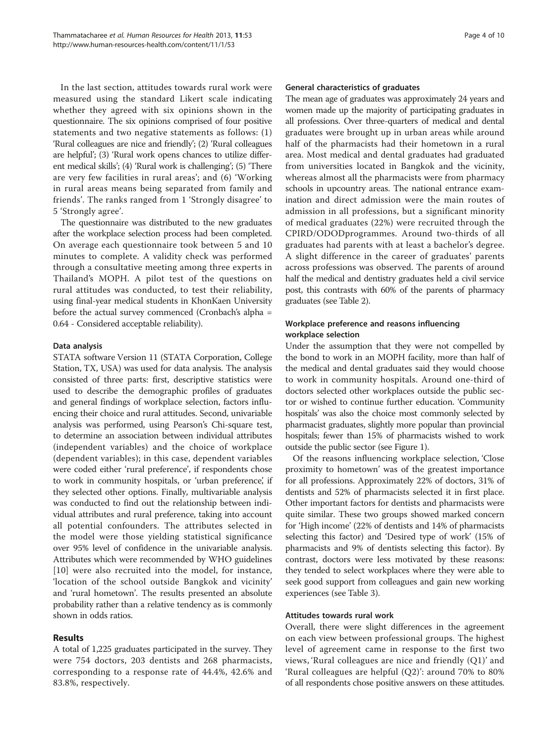In the last section, attitudes towards rural work were measured using the standard Likert scale indicating whether they agreed with six opinions shown in the questionnaire. The six opinions comprised of four positive statements and two negative statements as follows: (1) 'Rural colleagues are nice and friendly'; (2) 'Rural colleagues are helpful'; (3) 'Rural work opens chances to utilize different medical skills'; (4) 'Rural work is challenging'; (5) 'There are very few facilities in rural areas'; and (6) 'Working in rural areas means being separated from family and friends'. The ranks ranged from 1 'Strongly disagree' to 5 'Strongly agree'.

The questionnaire was distributed to the new graduates after the workplace selection process had been completed. On average each questionnaire took between 5 and 10 minutes to complete. A validity check was performed through a consultative meeting among three experts in Thailand's MOPH. A pilot test of the questions on rural attitudes was conducted, to test their reliability, using final-year medical students in KhonKaen University before the actual survey commenced (Cronbach's alpha = 0.64 - Considered acceptable reliability).

# Data analysis

STATA software Version 11 (STATA Corporation, College Station, TX, USA) was used for data analysis. The analysis consisted of three parts: first, descriptive statistics were used to describe the demographic profiles of graduates and general findings of workplace selection, factors influencing their choice and rural attitudes. Second, univariable analysis was performed, using Pearson's Chi-square test, to determine an association between individual attributes (independent variables) and the choice of workplace (dependent variables); in this case, dependent variables were coded either 'rural preference', if respondents chose to work in community hospitals, or 'urban preference', if they selected other options. Finally, multivariable analysis was conducted to find out the relationship between individual attributes and rural preference, taking into account all potential confounders. The attributes selected in the model were those yielding statistical significance over 95% level of confidence in the univariable analysis. Attributes which were recommended by WHO guidelines [[10](#page-8-0)] were also recruited into the model, for instance, 'location of the school outside Bangkok and vicinity' and 'rural hometown'. The results presented an absolute probability rather than a relative tendency as is commonly shown in odds ratios.

# Results

A total of 1,225 graduates participated in the survey. They were 754 doctors, 203 dentists and 268 pharmacists, corresponding to a response rate of 44.4%, 42.6% and 83.8%, respectively.

# General characteristics of graduates

The mean age of graduates was approximately 24 years and women made up the majority of participating graduates in all professions. Over three-quarters of medical and dental graduates were brought up in urban areas while around half of the pharmacists had their hometown in a rural area. Most medical and dental graduates had graduated from universities located in Bangkok and the vicinity, whereas almost all the pharmacists were from pharmacy schools in upcountry areas. The national entrance examination and direct admission were the main routes of admission in all professions, but a significant minority of medical graduates (22%) were recruited through the CPIRD/ODODprogrammes. Around two-thirds of all graduates had parents with at least a bachelor's degree. A slight difference in the career of graduates' parents across professions was observed. The parents of around half the medical and dentistry graduates held a civil service post, this contrasts with 60% of the parents of pharmacy graduates (see Table [2](#page-4-0)).

# Workplace preference and reasons influencing workplace selection

Under the assumption that they were not compelled by the bond to work in an MOPH facility, more than half of the medical and dental graduates said they would choose to work in community hospitals. Around one-third of doctors selected other workplaces outside the public sector or wished to continue further education. 'Community hospitals' was also the choice most commonly selected by pharmacist graduates, slightly more popular than provincial hospitals; fewer than 15% of pharmacists wished to work outside the public sector (see Figure [1](#page-4-0)).

Of the reasons influencing workplace selection, 'Close proximity to hometown' was of the greatest importance for all professions. Approximately 22% of doctors, 31% of dentists and 52% of pharmacists selected it in first place. Other important factors for dentists and pharmacists were quite similar. These two groups showed marked concern for 'High income' (22% of dentists and 14% of pharmacists selecting this factor) and 'Desired type of work' (15% of pharmacists and 9% of dentists selecting this factor). By contrast, doctors were less motivated by these reasons: they tended to select workplaces where they were able to seek good support from colleagues and gain new working experiences (see Table [3](#page-4-0)).

# Attitudes towards rural work

Overall, there were slight differences in the agreement on each view between professional groups. The highest level of agreement came in response to the first two views, 'Rural colleagues are nice and friendly (Q1)' and 'Rural colleagues are helpful (Q2)': around 70% to 80% of all respondents chose positive answers on these attitudes.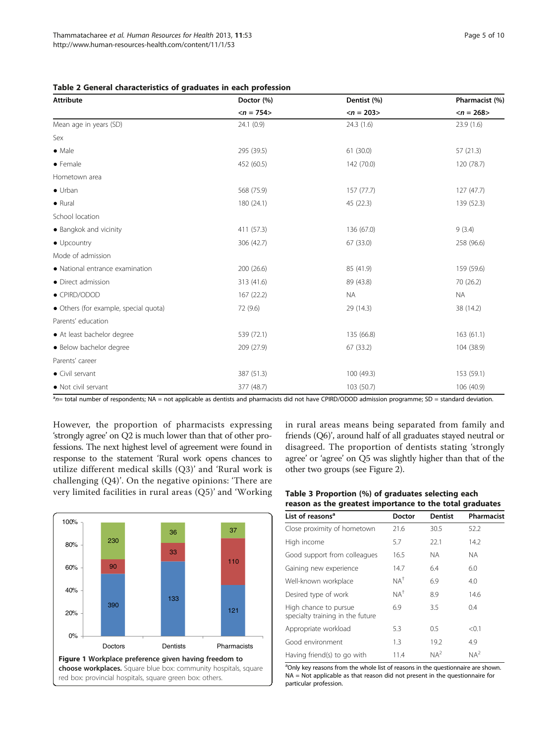<span id="page-4-0"></span>

| Table 2 General characteristics of graduates in each profession |  |  |  |  |  |
|-----------------------------------------------------------------|--|--|--|--|--|
|-----------------------------------------------------------------|--|--|--|--|--|

| <b>Attribute</b>                      | Doctor (%)                | Dentist (%)               | Pharmacist (%)            |  |
|---------------------------------------|---------------------------|---------------------------|---------------------------|--|
|                                       | $\langle n = 754 \rangle$ | $\langle n = 203 \rangle$ | $\langle n = 268 \rangle$ |  |
| Mean age in years (SD)                | 24.1 (0.9)                | 24.3 (1.6)                | 23.9 (1.6)                |  |
| Sex                                   |                           |                           |                           |  |
| $\bullet$ Male                        | 295 (39.5)                | 61 (30.0)                 | 57(21.3)                  |  |
| $\bullet$ Female                      | 452 (60.5)                | 142 (70.0)                | 120 (78.7)                |  |
| Hometown area                         |                           |                           |                           |  |
| $\bullet$ Urban                       | 568 (75.9)                | 157(77.7)                 | 127(47.7)                 |  |
| $\bullet$ Rural                       | 180 (24.1)                | 45 (22.3)                 | 139 (52.3)                |  |
| School location                       |                           |                           |                           |  |
| • Bangkok and vicinity                | 411 (57.3)                | 136 (67.0)                | 9(3.4)                    |  |
| $\bullet$ Upcountry                   | 306 (42.7)                | 67 (33.0)                 | 258 (96.6)                |  |
| Mode of admission                     |                           |                           |                           |  |
| • National entrance examination       | 200 (26.6)                | 85 (41.9)                 | 159 (59.6)                |  |
| • Direct admission                    | 313 (41.6)                | 89 (43.8)                 | 70 (26.2)                 |  |
| • CPIRD/ODOD                          | 167(22.2)                 | <b>NA</b>                 | <b>NA</b>                 |  |
| • Others (for example, special quota) | 72 (9.6)                  | 29 (14.3)                 | 38 (14.2)                 |  |
| Parents' education                    |                           |                           |                           |  |
| • At least bachelor degree            | 539 (72.1)                | 135 (66.8)                | 163(61.1)                 |  |
| · Below bachelor degree               | 209 (27.9)                | 67 (33.2)                 | 104 (38.9)                |  |
| Parents' career                       |                           |                           |                           |  |
| • Civil servant                       | 387 (51.3)                | 100(49.3)                 | 153 (59.1)                |  |
| · Not civil servant                   | 377 (48.7)                | 103 (50.7)                | 106 (40.9)                |  |

<sup>a</sup>n= total number of respondents; NA = not applicable as dentists and pharmacists did not have CPIRD/ODOD admission programme; SD = standard deviation.

However, the proportion of pharmacists expressing 'strongly agree' on Q2 is much lower than that of other professions. The next highest level of agreement were found in response to the statement 'Rural work opens chances to utilize different medical skills (Q3)' and 'Rural work is challenging (Q4)'. On the negative opinions: 'There are very limited facilities in rural areas (Q5)' and 'Working



in rural areas means being separated from family and friends (Q6)', around half of all graduates stayed neutral or disagreed. The proportion of dentists stating 'strongly agree' or 'agree' on Q5 was slightly higher than that of the other two groups (see Figure [2\)](#page-5-0).

# Table 3 Proportion (%) of graduates selecting each reason as the greatest importance to the total graduates

| List of reasons <sup>a</sup>                              | <b>Doctor</b>  | <b>Dentist</b> | Pharmacist |
|-----------------------------------------------------------|----------------|----------------|------------|
| Close proximity of hometown                               | 21.6           | 30.5           | 52.2       |
| High income                                               | 5.7            | 22.1           | 14.2       |
| Good support from colleagues                              | 16.5           | NA.            | NA.        |
| Gaining new experience                                    | 14.7           | 6.4            | 6.0        |
| Well-known workplace                                      | $NA^{\dagger}$ | 6.9            | 4.0        |
| Desired type of work                                      | $NA^{\dagger}$ | 8.9            | 14.6       |
| High chance to pursue<br>specialty training in the future | 6.9            | 3.5            | 0.4        |
| Appropriate workload                                      | 5.3            | 0.5            | < 0.1      |
| Good environment                                          | 1.3            | 19.2           | 4.9        |
| Having friend(s) to go with                               | 11.4           | $NA^2$         | $NA^2$     |

<sup>a</sup>Only key reasons from the whole list of reasons in the questionnaire are shown. NA = Not applicable as that reason did not present in the questionnaire for particular profession.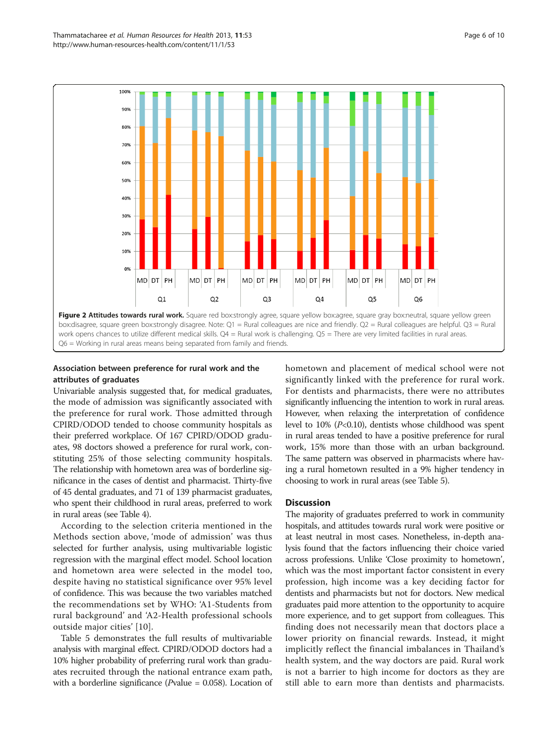<span id="page-5-0"></span>

Q6 = Working in rural areas means being separated from family and friends.

# Association between preference for rural work and the attributes of graduates

Univariable analysis suggested that, for medical graduates, the mode of admission was significantly associated with the preference for rural work. Those admitted through CPIRD/ODOD tended to choose community hospitals as their preferred workplace. Of 167 CPIRD/ODOD graduates, 98 doctors showed a preference for rural work, constituting 25% of those selecting community hospitals. The relationship with hometown area was of borderline significance in the cases of dentist and pharmacist. Thirty-five of 45 dental graduates, and 71 of 139 pharmacist graduates, who spent their childhood in rural areas, preferred to work in rural areas (see Table [4](#page-6-0)).

According to the selection criteria mentioned in the [Methods](#page-2-0) section above, 'mode of admission' was thus selected for further analysis, using multivariable logistic regression with the marginal effect model. School location and hometown area were selected in the model too, despite having no statistical significance over 95% level of confidence. This was because the two variables matched the recommendations set by WHO: 'A1-Students from rural background' and 'A2-Health professional schools outside major cities' [[10](#page-8-0)].

Table [5](#page-6-0) demonstrates the full results of multivariable analysis with marginal effect. CPIRD/ODOD doctors had a 10% higher probability of preferring rural work than graduates recruited through the national entrance exam path, with a borderline significance ( $P$ value = 0.058). Location of hometown and placement of medical school were not significantly linked with the preference for rural work. For dentists and pharmacists, there were no attributes significantly influencing the intention to work in rural areas. However, when relaxing the interpretation of confidence level to 10% (P<0.10), dentists whose childhood was spent in rural areas tended to have a positive preference for rural work, 15% more than those with an urban background. The same pattern was observed in pharmacists where having a rural hometown resulted in a 9% higher tendency in choosing to work in rural areas (see Table [5\)](#page-6-0).

# **Discussion**

The majority of graduates preferred to work in community hospitals, and attitudes towards rural work were positive or at least neutral in most cases. Nonetheless, in-depth analysis found that the factors influencing their choice varied across professions. Unlike 'Close proximity to hometown', which was the most important factor consistent in every profession, high income was a key deciding factor for dentists and pharmacists but not for doctors. New medical graduates paid more attention to the opportunity to acquire more experience, and to get support from colleagues. This finding does not necessarily mean that doctors place a lower priority on financial rewards. Instead, it might implicitly reflect the financial imbalances in Thailand's health system, and the way doctors are paid. Rural work is not a barrier to high income for doctors as they are still able to earn more than dentists and pharmacists.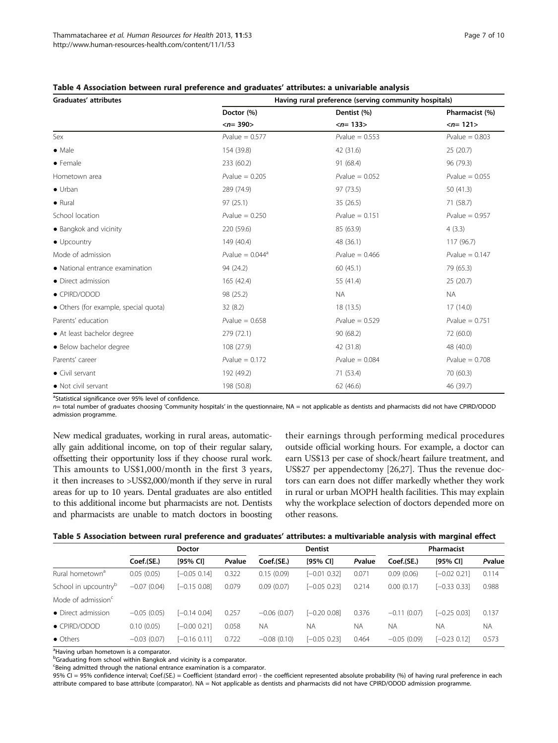| Graduates' attributes                 | Having rural preference (serving community hospitals) |                           |                           |  |  |  |
|---------------------------------------|-------------------------------------------------------|---------------------------|---------------------------|--|--|--|
|                                       | Doctor (%)                                            | Dentist (%)               | Pharmacist (%)            |  |  |  |
|                                       | $\langle n = 390 \rangle$                             | $\langle n = 133 \rangle$ | $\langle n = 121 \rangle$ |  |  |  |
| Sex                                   | $P$ value = 0.577                                     | $Pvalue = 0.553$          | $P$ value = 0.803         |  |  |  |
| $\bullet$ Male                        | 154 (39.8)                                            | 42 (31.6)                 | 25(20.7)                  |  |  |  |
| $\bullet$ Female                      | 233 (60.2)                                            | 91 (68.4)                 | 96 (79.3)                 |  |  |  |
| Hometown area                         | $P$ value = 0.205                                     | $P$ value = 0.052         | $Pvalue = 0.055$          |  |  |  |
| $\bullet$ Urban                       | 289 (74.9)                                            | 97 (73.5)                 | 50(41.3)                  |  |  |  |
| $\bullet$ Rural                       | 97(25.1)                                              | 35(26.5)                  | 71 (58.7)                 |  |  |  |
| School location                       | $P$ value = 0.250                                     | $P$ value = 0.151         | $Pvalue = 0.957$          |  |  |  |
| • Bangkok and vicinity                | 220 (59.6)                                            | 85 (63.9)                 | 4(3.3)                    |  |  |  |
| $\bullet$ Upcountry                   | 149 (40.4)                                            | 48 (36.1)                 | 117 (96.7)                |  |  |  |
| Mode of admission                     | Pvalue = $0.044$ <sup>a</sup>                         | $P$ value = 0.466         | $P$ value = 0.147         |  |  |  |
| · National entrance examination       | 94 (24.2)                                             | 60(45.1)                  | 79 (65.3)                 |  |  |  |
| • Direct admission                    | 165 (42.4)                                            | 55 (41.4)                 | 25(20.7)                  |  |  |  |
| • CPIRD/ODOD                          | 98 (25.2)                                             | <b>NA</b>                 | <b>NA</b>                 |  |  |  |
| • Others (for example, special quota) | 32 (8.2)                                              | 18(13.5)                  | 17(14.0)                  |  |  |  |
| Parents' education                    | $Pvalue = 0.658$                                      | $Pvalue = 0.529$          | $P$ value = 0.751         |  |  |  |
| • At least bachelor degree            | 279 (72.1)                                            | 90(68.2)                  | 72 (60.0)                 |  |  |  |
| • Below bachelor degree               | 108 (27.9)                                            | 42 (31.8)                 | 48 (40.0)                 |  |  |  |
| Parents' career                       | $P$ value = 0.172                                     | $Pvalue = 0.084$          | $P$ value = 0.708         |  |  |  |
| $\bullet$ Civil servant               | 192 (49.2)                                            | 71 (53.4)                 | 70 (60.3)                 |  |  |  |
| • Not civil servant                   | 198 (50.8)                                            | 62(46.6)                  | 46 (39.7)                 |  |  |  |

<span id="page-6-0"></span>

| Table 4 Association between rural preference and graduates' attributes: a univariable analysis |  |  |  |
|------------------------------------------------------------------------------------------------|--|--|--|
|------------------------------------------------------------------------------------------------|--|--|--|

<sup>a</sup>Statistical significance over 95% level of confidence.

 $n=$  total number of graduates choosing 'Community hospitals' in the questionnaire,  $NA =$  not applicable as dentists and pharmacists did not have CPIRD/ODOD admission programme.

New medical graduates, working in rural areas, automatically gain additional income, on top of their regular salary, offsetting their opportunity loss if they choose rural work. This amounts to US\$1,000/month in the first 3 years, it then increases to >US\$2,000/month if they serve in rural areas for up to 10 years. Dental graduates are also entitled to this additional income but pharmacists are not. Dentists and pharmacists are unable to match doctors in boosting

their earnings through performing medical procedures outside official working hours. For example, a doctor can earn US\$13 per case of shock/heart failure treatment, and US\$27 per appendectomy [\[26,27](#page-9-0)]. Thus the revenue doctors can earn does not differ markedly whether they work in rural or urban MOPH health facilities. This may explain why the workplace selection of doctors depended more on other reasons.

|  | Table 5 Association between rural preference and graduates' attributes: a multivariable analysis with marginal effect |  |  |  |
|--|-----------------------------------------------------------------------------------------------------------------------|--|--|--|
|  |                                                                                                                       |  |  |  |

|                                  | <b>Doctor</b> |                |        |               | <b>Dentist</b> |           | Pharmacist    |                |           |
|----------------------------------|---------------|----------------|--------|---------------|----------------|-----------|---------------|----------------|-----------|
|                                  | Coef.(SE.)    | [95% CI]       | Pvalue | Coef.(SE.)    | $[95%$ CI]     | Pvalue    | Coef.(SE.)    | [95% CI]       | Pvalue    |
| Rural hometown <sup>a</sup>      | 0.05(0.05)    | $[-0.05 0.14]$ | 0.322  | 0.15(0.09)    | $[-0.01 0.32]$ | 0.071     | 0.09(0.06)    | $[-0.02 0.21]$ | 0.114     |
| School in upcountry <sup>p</sup> | $-0.07(0.04)$ | $[-0.15 0.08]$ | 0.079  | 0.09(0.07)    | $[-0.05 0.23]$ | 0.214     | 0.00(0.17)    | $[-0.33 0.33]$ | 0.988     |
| Mode of admission <sup>c</sup>   |               |                |        |               |                |           |               |                |           |
| • Direct admission               | $-0.05(0.05)$ | $[-0.14 0.04]$ | 0.257  | $-0.06(0.07)$ | $[-0.20 0.08]$ | 0.376     | $-0.11(0.07)$ | $[-0.25 0.03]$ | 0.137     |
| • CPIRD/ODOD                     | 0.10(0.05)    | $[-0.00 0.21]$ | 0.058  | <b>NA</b>     | <b>NA</b>      | <b>NA</b> | <b>NA</b>     | <b>NA</b>      | <b>NA</b> |
| • Others                         | $-0.03(0.07)$ | $[-0.16 0.11]$ | 0.722  | $-0.08(0.10)$ | $[-0.05 0.23]$ | 0.464     | $-0.05(0.09)$ | $[-0.23 0.12]$ | 0.573     |

<sup>a</sup>Having urban hometown is a comparator.

<sup>b</sup>Graduating from school within Bangkok and vicinity is a comparator.

Being admitted through the national entrance examination is a comparator.

95% CI = 95% confidence interval; Coef.(SE.) = Coefficient (standard error) - the coefficient represented absolute probability (%) of having rural preference in each attribute compared to base attribute (comparator). NA = Not applicable as dentists and pharmacists did not have CPIRD/ODOD admission programme.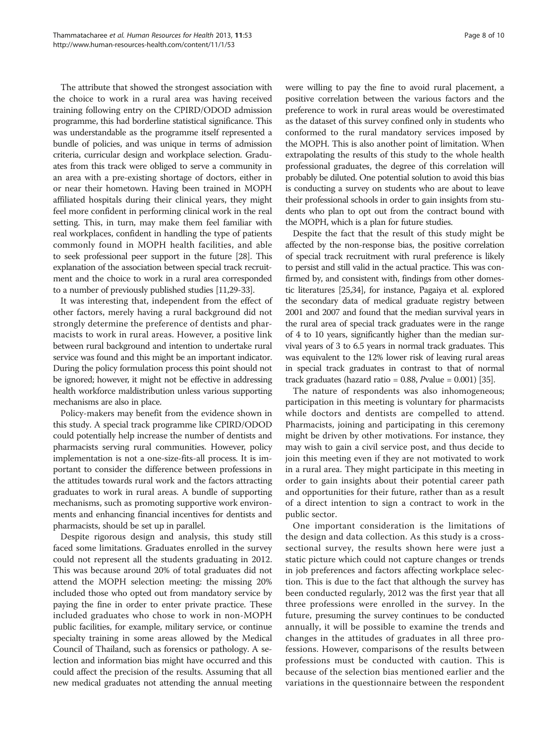The attribute that showed the strongest association with the choice to work in a rural area was having received training following entry on the CPIRD/ODOD admission programme, this had borderline statistical significance. This was understandable as the programme itself represented a bundle of policies, and was unique in terms of admission criteria, curricular design and workplace selection. Graduates from this track were obliged to serve a community in an area with a pre-existing shortage of doctors, either in or near their hometown. Having been trained in MOPH affiliated hospitals during their clinical years, they might feel more confident in performing clinical work in the real setting. This, in turn, may make them feel familiar with real workplaces, confident in handling the type of patients commonly found in MOPH health facilities, and able to seek professional peer support in the future [\[28\]](#page-9-0). This explanation of the association between special track recruitment and the choice to work in a rural area corresponded to a number of previously published studies [\[11,](#page-8-0)[29-33\]](#page-9-0).

It was interesting that, independent from the effect of other factors, merely having a rural background did not strongly determine the preference of dentists and pharmacists to work in rural areas. However, a positive link between rural background and intention to undertake rural service was found and this might be an important indicator. During the policy formulation process this point should not be ignored; however, it might not be effective in addressing health workforce maldistribution unless various supporting mechanisms are also in place.

Policy-makers may benefit from the evidence shown in this study. A special track programme like CPIRD/ODOD could potentially help increase the number of dentists and pharmacists serving rural communities. However, policy implementation is not a one-size-fits-all process. It is important to consider the difference between professions in the attitudes towards rural work and the factors attracting graduates to work in rural areas. A bundle of supporting mechanisms, such as promoting supportive work environments and enhancing financial incentives for dentists and pharmacists, should be set up in parallel.

Despite rigorous design and analysis, this study still faced some limitations. Graduates enrolled in the survey could not represent all the students graduating in 2012. This was because around 20% of total graduates did not attend the MOPH selection meeting: the missing 20% included those who opted out from mandatory service by paying the fine in order to enter private practice. These included graduates who chose to work in non-MOPH public facilities, for example, military service, or continue specialty training in some areas allowed by the Medical Council of Thailand, such as forensics or pathology. A selection and information bias might have occurred and this could affect the precision of the results. Assuming that all new medical graduates not attending the annual meeting were willing to pay the fine to avoid rural placement, a positive correlation between the various factors and the preference to work in rural areas would be overestimated as the dataset of this survey confined only in students who conformed to the rural mandatory services imposed by the MOPH. This is also another point of limitation. When extrapolating the results of this study to the whole health professional graduates, the degree of this correlation will probably be diluted. One potential solution to avoid this bias is conducting a survey on students who are about to leave their professional schools in order to gain insights from students who plan to opt out from the contract bound with the MOPH, which is a plan for future studies.

Despite the fact that the result of this study might be affected by the non-response bias, the positive correlation of special track recruitment with rural preference is likely to persist and still valid in the actual practice. This was confirmed by, and consistent with, findings from other domestic literatures [\[25,34](#page-9-0)], for instance, Pagaiya et al. explored the secondary data of medical graduate registry between 2001 and 2007 and found that the median survival years in the rural area of special track graduates were in the range of 4 to 10 years, significantly higher than the median survival years of 3 to 6.5 years in normal track graduates. This was equivalent to the 12% lower risk of leaving rural areas in special track graduates in contrast to that of normal track graduates (hazard ratio =  $0.88$ , *Pvalue =*  $0.001$ *)* [\[35\]](#page-9-0).

The nature of respondents was also inhomogeneous; participation in this meeting is voluntary for pharmacists while doctors and dentists are compelled to attend. Pharmacists, joining and participating in this ceremony might be driven by other motivations. For instance, they may wish to gain a civil service post, and thus decide to join this meeting even if they are not motivated to work in a rural area. They might participate in this meeting in order to gain insights about their potential career path and opportunities for their future, rather than as a result of a direct intention to sign a contract to work in the public sector.

One important consideration is the limitations of the design and data collection. As this study is a crosssectional survey, the results shown here were just a static picture which could not capture changes or trends in job preferences and factors affecting workplace selection. This is due to the fact that although the survey has been conducted regularly, 2012 was the first year that all three professions were enrolled in the survey. In the future, presuming the survey continues to be conducted annually, it will be possible to examine the trends and changes in the attitudes of graduates in all three professions. However, comparisons of the results between professions must be conducted with caution. This is because of the selection bias mentioned earlier and the variations in the questionnaire between the respondent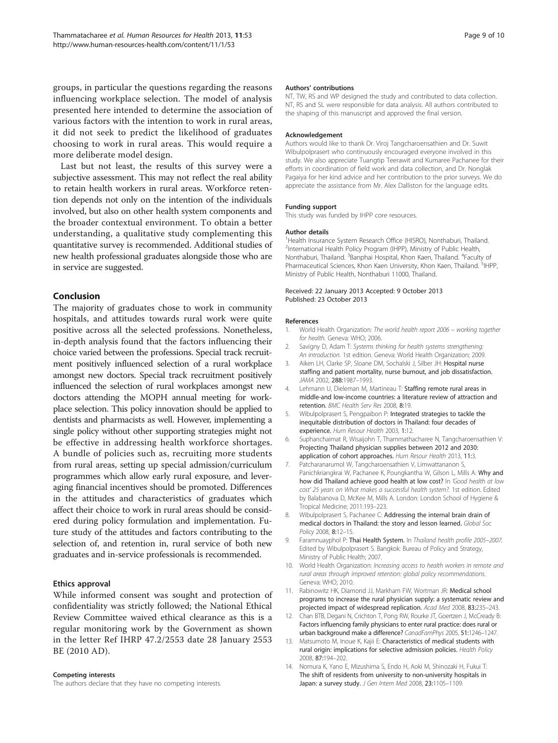<span id="page-8-0"></span>groups, in particular the questions regarding the reasons influencing workplace selection. The model of analysis presented here intended to determine the association of various factors with the intention to work in rural areas, it did not seek to predict the likelihood of graduates choosing to work in rural areas. This would require a more deliberate model design.

Last but not least, the results of this survey were a subjective assessment. This may not reflect the real ability to retain health workers in rural areas. Workforce retention depends not only on the intention of the individuals involved, but also on other health system components and the broader contextual environment. To obtain a better understanding, a qualitative study complementing this quantitative survey is recommended. Additional studies of new health professional graduates alongside those who are in service are suggested.

# Conclusion

The majority of graduates chose to work in community hospitals, and attitudes towards rural work were quite positive across all the selected professions. Nonetheless, in-depth analysis found that the factors influencing their choice varied between the professions. Special track recruitment positively influenced selection of a rural workplace amongst new doctors. Special track recruitment positively influenced the selection of rural workplaces amongst new doctors attending the MOPH annual meeting for workplace selection. This policy innovation should be applied to dentists and pharmacists as well. However, implementing a single policy without other supporting strategies might not be effective in addressing health workforce shortages. A bundle of policies such as, recruiting more students from rural areas, setting up special admission/curriculum programmes which allow early rural exposure, and leveraging financial incentives should be promoted. Differences in the attitudes and characteristics of graduates which affect their choice to work in rural areas should be considered during policy formulation and implementation. Future study of the attitudes and factors contributing to the selection of, and retention in, rural service of both new graduates and in-service professionals is recommended.

# Ethics approval

While informed consent was sought and protection of confidentiality was strictly followed; the National Ethical Review Committee waived ethical clearance as this is a regular monitoring work by the Government as shown in the letter Ref IHRP 47.2/2553 date 28 January 2553 BE (2010 AD).

#### Competing interests

The authors declare that they have no competing interests.

#### Authors' contributions

NT, TW, RS and WP designed the study and contributed to data collection. NT, RS and SL were responsible for data analysis. All authors contributed to the shaping of this manuscript and approved the final version.

#### Acknowledgement

Authors would like to thank Dr. Viroj Tangcharoensathien and Dr. Suwit Wibulpolprasert who continuously encouraged everyone involved in this study. We also appreciate Tuangtip Teerawit and Kumaree Pachanee for their efforts in coordination of field work and data collection, and Dr. Nonglak Pagaiya for her kind advice and her contribution to the prior surveys. We do appreciate the assistance from Mr. Alex Dalliston for the language edits.

#### Funding support

This study was funded by IHPP core resources.

#### Author details

<sup>1</sup>Health Insurance System Research Office (HISRO), Nonthaburi, Thailand <sup>2</sup>International Health Policy Program (IHPP), Ministry of Public Health, Nonthaburi, Thailand. <sup>3</sup>Banphai Hospital, Khon Kaen, Thailand. <sup>4</sup>Faculty of Pharmaceutical Sciences, Khon Kaen University, Khon Kaen, Thailand. <sup>5</sup>IHPP Ministry of Public Health, Nonthaburi 11000, Thailand.

#### Received: 22 January 2013 Accepted: 9 October 2013 Published: 23 October 2013

#### References

- 1. World Health Organization: The world health report 2006 working together for health. Geneva: WHO; 2006.
- 2. Savigny D, Adam T: Systems thinking for health systems strengthening: An introduction. 1st edition. Geneva: World Health Organization; 2009.
- 3. Aiken LH, Clarke SP, Sloane DM, Sochalski J, Silber JH: Hospital nurse staffing and patient mortality, nurse burnout, and job dissatisfaction. JAMA 2002, 288:1987–1993.
- 4. Lehmann U, Dieleman M, Martineau T: Staffing remote rural areas in middle-and low-income countries: a literature review of attraction and retention. BMC Health Serv Res 2008, 8:19.
- 5. Wibulpolprasert S, Pengpaibon P: Integrated strategies to tackle the inequitable distribution of doctors in Thailand: four decades of experience. Hum Resour Health 2003, 1:12.
- 6. Suphanchaimat R, Wisaijohn T, Thammathacharee N, Tangcharoensathien V: Projecting Thailand physician supplies between 2012 and 2030: application of cohort approaches. Hum Resour Health 2013, 11:3.
- 7. Patcharanarumol W, Tangcharoensathien V, Limwattananon S, Panichkriangkrai W, Pachanee K, Poungkantha W, Gilson L, Mills A: Why and how did Thailand achieve good health at low cost? In 'Good health at low cost' 25 years on What makes a successful health system?. 1st edition. Edited by Balabanova D, McKee M, Mills A. London: London School of Hygiene & Tropical Medicine; 2011:193–223.
- 8. Wibulpolprasert S, Pachanee C: Addressing the internal brain drain of medical doctors in Thailand: the story and lesson learned. Global Soc Policy 2008, 8:12–15.
- 9. Faramnuayphol P: Thai Health System. In Thailand health profile 2005-2007. Edited by Wibulpolprasert S. Bangkok: Bureau of Policy and Strategy, Ministry of Public Health; 2007.
- 10. World Health Organization: Increasing access to health workers in remote and rural areas through improved retention: global policy recommendations. Geneva: WHO; 2010.
- 11. Rabinowitz HK, Diamond JJ, Markham FW, Wortman JR: Medical school programs to increase the rural physician supply: a systematic review and projected impact of widespread replication. Acad Med 2008, 83:235–243.
- 12. Chan BTB, Degani N, Crichton T, Pong RW, Rourke JT, Goertzen J, McCready B: Factors influencing family physicians to enter rural practice: does rural or urban background make a difference? CanadFamPhys 2005, 51:1246-1247.
- 13. Matsumoto M, Inoue K, Kajii E: Characteristics of medical students with rural origin: implications for selective admission policies. Health Policy 2008, 87:194–202.
- 14. Nomura K, Yano E, Mizushima S, Endo H, Aoki M, Shinozaki H, Fukui T: The shift of residents from university to non-university hospitals in Japan: a survey study. J Gen Intern Med 2008, 23:1105-1109.